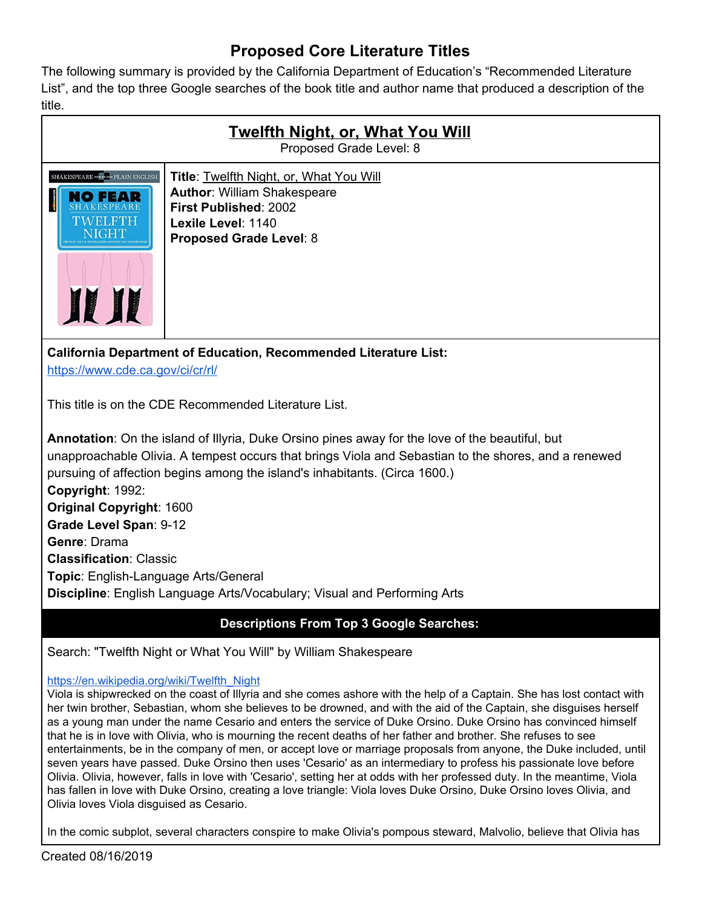# **Proposed Core Literature Titles**

The following summary is provided by the California Department of Education's "Recommended Literature List", and the top three Google searches of the book title and author name that produced a description of the title.

| <b>Twelfth Night, or, What You Will</b><br>Proposed Grade Level: 8 |                                                |
|--------------------------------------------------------------------|------------------------------------------------|
| SHAKESPEARE SIDE IN SIDE PLAIN ENGLISH                             | <b>Title: Twelfth Night, or, What You Will</b> |
| FEAR                                                               | <b>Author: William Shakespeare</b>             |
| RL FTH                                                             | First Published: 2002                          |
| GHT                                                                | Lexile Level: 1140                             |
| <b>CONTROL</b>                                                     | <b>Proposed Grade Level: 8</b>                 |

**California Department of Education, Recommended Literature List:**

<https://www.cde.ca.gov/ci/cr/rl/>

This title is on the CDE Recommended Literature List.

**Annotation**: On the island of Illyria, Duke Orsino pines away for the love of the beautiful, but unapproachable Olivia. A tempest occurs that brings Viola and Sebastian to the shores, and a renewed pursuing of affection begins among the island's inhabitants. (Circa 1600.) **Copyright**: 1992: **Original Copyright**: 1600 **Grade Level Span**: 9-12 **Genre**: Drama **Classification**: Classic **Topic**: English-Language Arts/General **Discipline**: English Language Arts/Vocabulary; Visual and Performing Arts

# **Descriptions From Top 3 Google Searches:**

Search: "Twelfth Night or What You Will" by William Shakespeare

## [https://en.wikipedia.org/wiki/Twelfth\\_Night](https://en.wikipedia.org/wiki/Twelfth_Night)

Viola is shipwrecked on the coast of Illyria and she comes ashore with the help of a Captain. She has lost contact with her twin brother, Sebastian, whom she believes to be drowned, and with the aid of the Captain, she disguises herself as a young man under the name Cesario and enters the service of Duke Orsino. Duke Orsino has convinced himself that he is in love with Olivia, who is mourning the recent deaths of her father and brother. She refuses to see entertainments, be in the company of men, or accept love or marriage proposals from anyone, the Duke included, until seven years have passed. Duke Orsino then uses 'Cesario' as an intermediary to profess his passionate love before Olivia. Olivia, however, falls in love with 'Cesario', setting her at odds with her professed duty. In the meantime, Viola has fallen in love with Duke Orsino, creating a love triangle: Viola loves Duke Orsino, Duke Orsino loves Olivia, and Olivia loves Viola disguised as Cesario.

In the comic subplot, several characters conspire to make Olivia's pompous steward, Malvolio, believe that Olivia has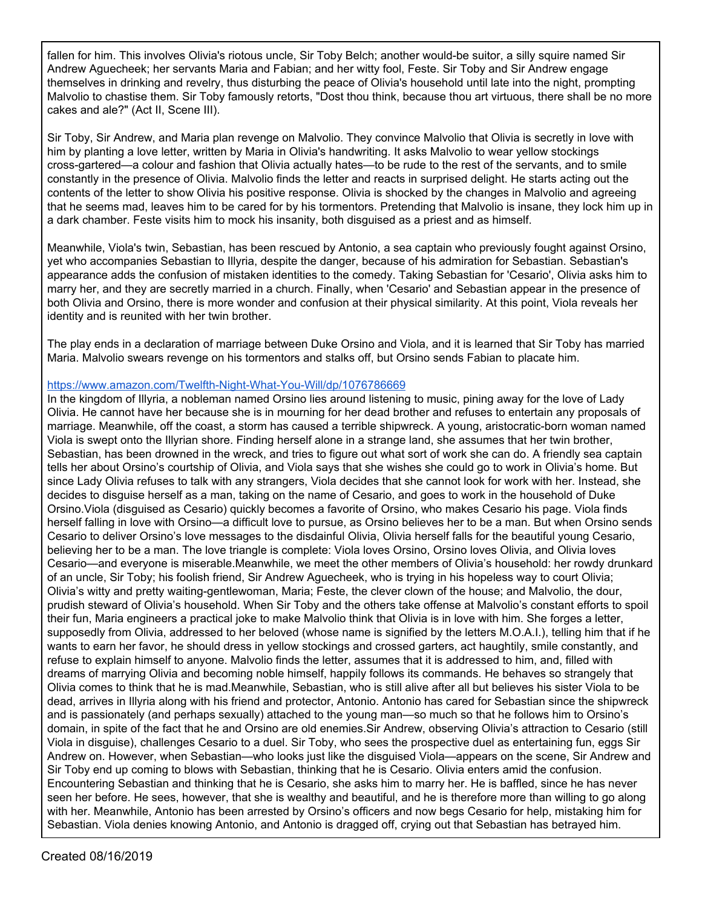fallen for him. This involves Olivia's riotous uncle, Sir Toby Belch; another would-be suitor, a silly squire named Sir Andrew Aguecheek; her servants Maria and Fabian; and her witty fool, Feste. Sir Toby and Sir Andrew engage themselves in drinking and revelry, thus disturbing the peace of Olivia's household until late into the night, prompting Malvolio to chastise them. Sir Toby famously retorts, "Dost thou think, because thou art virtuous, there shall be no more cakes and ale?" (Act II, Scene III).

Sir Toby, Sir Andrew, and Maria plan revenge on Malvolio. They convince Malvolio that Olivia is secretly in love with him by planting a love letter, written by Maria in Olivia's handwriting. It asks Malvolio to wear yellow stockings cross-gartered—a colour and fashion that Olivia actually hates—to be rude to the rest of the servants, and to smile constantly in the presence of Olivia. Malvolio finds the letter and reacts in surprised delight. He starts acting out the contents of the letter to show Olivia his positive response. Olivia is shocked by the changes in Malvolio and agreeing that he seems mad, leaves him to be cared for by his tormentors. Pretending that Malvolio is insane, they lock him up in a dark chamber. Feste visits him to mock his insanity, both disguised as a priest and as himself.

Meanwhile, Viola's twin, Sebastian, has been rescued by Antonio, a sea captain who previously fought against Orsino, yet who accompanies Sebastian to Illyria, despite the danger, because of his admiration for Sebastian. Sebastian's appearance adds the confusion of mistaken identities to the comedy. Taking Sebastian for 'Cesario', Olivia asks him to marry her, and they are secretly married in a church. Finally, when 'Cesario' and Sebastian appear in the presence of both Olivia and Orsino, there is more wonder and confusion at their physical similarity. At this point, Viola reveals her identity and is reunited with her twin brother.

The play ends in a declaration of marriage between Duke Orsino and Viola, and it is learned that Sir Toby has married Maria. Malvolio swears revenge on his tormentors and stalks off, but Orsino sends Fabian to placate him.

### <https://www.amazon.com/Twelfth-Night-What-You-Will/dp/1076786669>

In the kingdom of Illyria, a nobleman named Orsino lies around listening to music, pining away for the love of Lady Olivia. He cannot have her because she is in mourning for her dead brother and refuses to entertain any proposals of marriage. Meanwhile, off the coast, a storm has caused a terrible shipwreck. A young, aristocratic-born woman named Viola is swept onto the Illyrian shore. Finding herself alone in a strange land, she assumes that her twin brother, Sebastian, has been drowned in the wreck, and tries to figure out what sort of work she can do. A friendly sea captain tells her about Orsino's courtship of Olivia, and Viola says that she wishes she could go to work in Olivia's home. But since Lady Olivia refuses to talk with any strangers, Viola decides that she cannot look for work with her. Instead, she decides to disguise herself as a man, taking on the name of Cesario, and goes to work in the household of Duke Orsino.Viola (disguised as Cesario) quickly becomes a favorite of Orsino, who makes Cesario his page. Viola finds herself falling in love with Orsino—a difficult love to pursue, as Orsino believes her to be a man. But when Orsino sends Cesario to deliver Orsino's love messages to the disdainful Olivia, Olivia herself falls for the beautiful young Cesario, believing her to be a man. The love triangle is complete: Viola loves Orsino, Orsino loves Olivia, and Olivia loves Cesario—and everyone is miserable.Meanwhile, we meet the other members of Olivia's household: her rowdy drunkard of an uncle, Sir Toby; his foolish friend, Sir Andrew Aguecheek, who is trying in his hopeless way to court Olivia; Olivia's witty and pretty waiting-gentlewoman, Maria; Feste, the clever clown of the house; and Malvolio, the dour, prudish steward of Olivia's household. When Sir Toby and the others take offense at Malvolio's constant efforts to spoil their fun, Maria engineers a practical joke to make Malvolio think that Olivia is in love with him. She forges a letter, supposedly from Olivia, addressed to her beloved (whose name is signified by the letters M.O.A.I.), telling him that if he wants to earn her favor, he should dress in yellow stockings and crossed garters, act haughtily, smile constantly, and refuse to explain himself to anyone. Malvolio finds the letter, assumes that it is addressed to him, and, filled with dreams of marrying Olivia and becoming noble himself, happily follows its commands. He behaves so strangely that Olivia comes to think that he is mad.Meanwhile, Sebastian, who is still alive after all but believes his sister Viola to be dead, arrives in Illyria along with his friend and protector, Antonio. Antonio has cared for Sebastian since the shipwreck and is passionately (and perhaps sexually) attached to the young man—so much so that he follows him to Orsino's domain, in spite of the fact that he and Orsino are old enemies.Sir Andrew, observing Olivia's attraction to Cesario (still Viola in disguise), challenges Cesario to a duel. Sir Toby, who sees the prospective duel as entertaining fun, eggs Sir Andrew on. However, when Sebastian—who looks just like the disguised Viola—appears on the scene, Sir Andrew and Sir Toby end up coming to blows with Sebastian, thinking that he is Cesario. Olivia enters amid the confusion. Encountering Sebastian and thinking that he is Cesario, she asks him to marry her. He is baffled, since he has never seen her before. He sees, however, that she is wealthy and beautiful, and he is therefore more than willing to go along with her. Meanwhile, Antonio has been arrested by Orsino's officers and now begs Cesario for help, mistaking him for Sebastian. Viola denies knowing Antonio, and Antonio is dragged off, crying out that Sebastian has betrayed him.